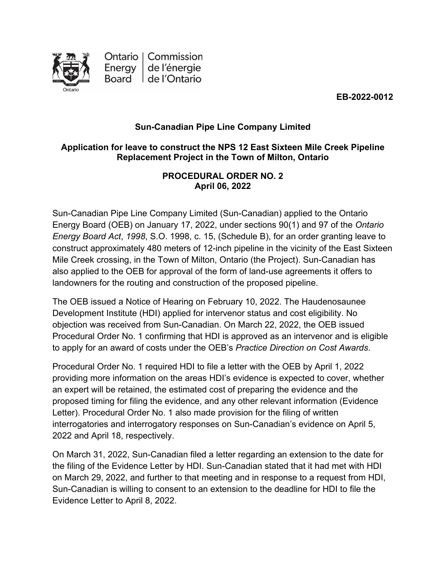

Ontario | Commission Energy de l'énergie Board de l'Ontario

**EB-2022-0012**

## **Sun-Canadian Pipe Line Company Limited**

## **Application for leave to construct the NPS 12 East Sixteen Mile Creek Pipeline Replacement Project in the Town of Milton, Ontario**

### **PROCEDURAL ORDER NO. 2 April 06, 2022**

Sun-Canadian Pipe Line Company Limited (Sun-Canadian) applied to the Ontario Energy Board (OEB) on January 17, 2022, under sections 90(1) and 97 of the *Ontario Energy Board Act*, *1998*, S.O. 1998, c. 15, (Schedule B), for an order granting leave to construct approximately 480 meters of 12-inch pipeline in the vicinity of the East Sixteen Mile Creek crossing, in the Town of Milton, Ontario (the Project). Sun-Canadian has also applied to the OEB for approval of the form of land-use agreements it offers to landowners for the routing and construction of the proposed pipeline.

The OEB issued a Notice of Hearing on February 10, 2022. The Haudenosaunee Development Institute (HDI) applied for intervenor status and cost eligibility. No objection was received from Sun-Canadian. On March 22, 2022, the OEB issued Procedural Order No. 1 confirming that HDI is approved as an intervenor and is eligible to apply for an award of costs under the OEB's *Practice Direction on Cost Awards*.

Procedural Order No. 1 required HDI to file a letter with the OEB by April 1, 2022 providing more information on the areas HDI's evidence is expected to cover, whether an expert will be retained, the estimated cost of preparing the evidence and the proposed timing for filing the evidence, and any other relevant information (Evidence Letter). Procedural Order No. 1 also made provision for the filing of written interrogatories and interrogatory responses on Sun-Canadian's evidence on April 5, 2022 and April 18, respectively.

On March 31, 2022, Sun-Canadian filed a letter regarding an extension to the date for the filing of the Evidence Letter by HDI. Sun-Canadian stated that it had met with HDI on March 29, 2022, and further to that meeting and in response to a request from HDI, Sun-Canadian is willing to consent to an extension to the deadline for HDI to file the Evidence Letter to April 8, 2022.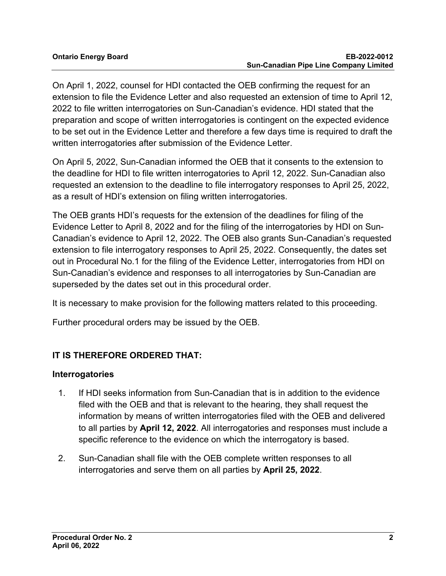On April 1, 2022, counsel for HDI contacted the OEB confirming the request for an extension to file the Evidence Letter and also requested an extension of time to April 12, 2022 to file written interrogatories on Sun-Canadian's evidence. HDI stated that the preparation and scope of written interrogatories is contingent on the expected evidence to be set out in the Evidence Letter and therefore a few days time is required to draft the written interrogatories after submission of the Evidence Letter.

On April 5, 2022, Sun-Canadian informed the OEB that it consents to the extension to the deadline for HDI to file written interrogatories to April 12, 2022. Sun-Canadian also requested an extension to the deadline to file interrogatory responses to April 25, 2022, as a result of HDI's extension on filing written interrogatories.

The OEB grants HDI's requests for the extension of the deadlines for filing of the Evidence Letter to April 8, 2022 and for the filing of the interrogatories by HDI on Sun-Canadian's evidence to April 12, 2022. The OEB also grants Sun-Canadian's requested extension to file interrogatory responses to April 25, 2022. Consequently, the dates set out in Procedural No.1 for the filing of the Evidence Letter, interrogatories from HDI on Sun-Canadian's evidence and responses to all interrogatories by Sun-Canadian are superseded by the dates set out in this procedural order.

It is necessary to make provision for the following matters related to this proceeding.

Further procedural orders may be issued by the OEB.

# **IT IS THEREFORE ORDERED THAT:**

### **Interrogatories**

- 1. If HDI seeks information from Sun-Canadian that is in addition to the evidence filed with the OEB and that is relevant to the hearing, they shall request the information by means of written interrogatories filed with the OEB and delivered to all parties by **April 12, 2022**. All interrogatories and responses must include a specific reference to the evidence on which the interrogatory is based.
- 2. Sun-Canadian shall file with the OEB complete written responses to all interrogatories and serve them on all parties by **April 25, 2022**.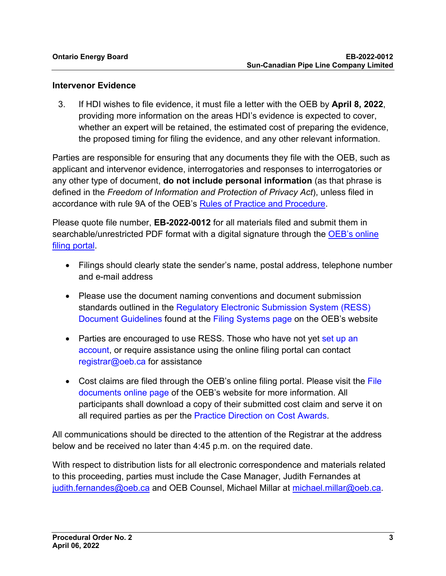#### **Intervenor Evidence**

3. If HDI wishes to file evidence, it must file a letter with the OEB by **April 8, 2022**, providing more information on the areas HDI's evidence is expected to cover, whether an expert will be retained, the estimated cost of preparing the evidence, the proposed timing for filing the evidence, and any other relevant information.

Parties are responsible for ensuring that any documents they file with the OEB, such as applicant and intervenor evidence, interrogatories and responses to interrogatories or any other type of document, **do not include personal information** (as that phrase is defined in the *Freedom of Information and Protection of Privacy Act*), unless filed in accordance with rule 9A of the OEB's [Rules of Practice and Procedure.](https://www.oeb.ca/industry/rules-codes-and-requirements/rules-practice-procedure)

Please quote file number, **EB-2022-0012** for all materials filed and submit them in searchable/unrestricted PDF format with a digital signature through the OEB's online [filing portal.](https://p-pes.ontarioenergyboard.ca/PivotalUX/)

- Filings should clearly state the sender's name, postal address, telephone number and e-mail address
- Please use the document naming conventions and document submission standards outlined in the Regulatory Electronic Submission System (RESS) Document Guidelines found at the Filing Systems page on the OEB's website
- Parties are encouraged to use RESS. Those who have not yet set up an account, or require assistance using the online filing portal can contact registrar@oeb.ca for assistance
- Cost claims are filed through the OEB's online filing portal. Please visit the File documents online page of the OEB's website for more information. All participants shall download a copy of their submitted cost claim and serve it on all required parties as per the Practice Direction on Cost Awards.

All communications should be directed to the attention of the Registrar at the address below and be received no later than 4:45 p.m. on the required date.

With respect to distribution lists for all electronic correspondence and materials related to this proceeding, parties must include the Case Manager, Judith Fernandes at [judith.fernandes@oeb.ca](mailto:judith.fernandes@oeb.ca) and OEB Counsel, Michael Millar at [michael.millar@oeb.ca.](mailto:michael.millar@oeb.ca)